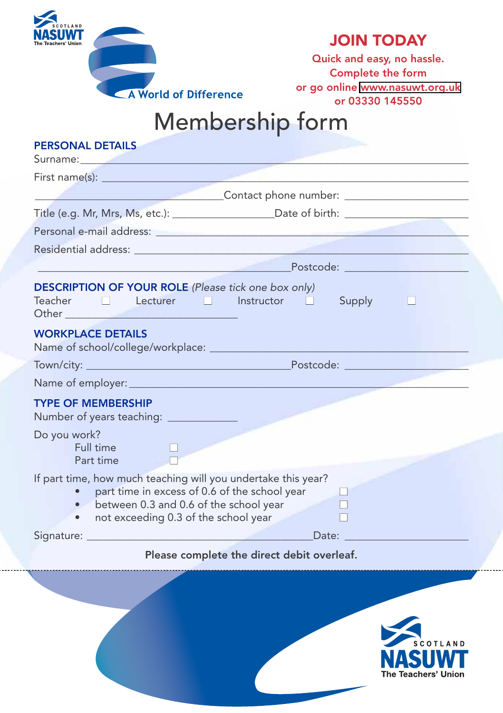

## **JOIN TODAY**

**Quick and easy, no hassle. Complete the form or go online [www.nasuwt.org.uk](http://www.nasuwt.org.uk) or 03330 145550**

## Membership form

| <b>PERSONAL DETAILS</b>                                                                                                                                                                                                              |                                                                                                                                                                                                    |  |  |  |  |  |  |  |
|--------------------------------------------------------------------------------------------------------------------------------------------------------------------------------------------------------------------------------------|----------------------------------------------------------------------------------------------------------------------------------------------------------------------------------------------------|--|--|--|--|--|--|--|
|                                                                                                                                                                                                                                      | Surname: 2008 2009 2010 2021 2022 2023 2024 2022 2022 2023 2024 2022 2023 2024 2022 2023 2024 2022 2023 2024 20                                                                                    |  |  |  |  |  |  |  |
|                                                                                                                                                                                                                                      |                                                                                                                                                                                                    |  |  |  |  |  |  |  |
|                                                                                                                                                                                                                                      | ___________________________________Contact phone number: _______________________                                                                                                                   |  |  |  |  |  |  |  |
|                                                                                                                                                                                                                                      |                                                                                                                                                                                                    |  |  |  |  |  |  |  |
|                                                                                                                                                                                                                                      |                                                                                                                                                                                                    |  |  |  |  |  |  |  |
|                                                                                                                                                                                                                                      |                                                                                                                                                                                                    |  |  |  |  |  |  |  |
|                                                                                                                                                                                                                                      | <u> 1988 - Postcode: Anno 1988 - Postcode: Anno 1988 - Anno 1988 - Anno 1988 - Anno 1988 - Anno 1988 - Anno 1988 </u>                                                                              |  |  |  |  |  |  |  |
| Other <u>2008 - 2008 - 2008 - 2008 - 2008 - 2008 - 2008 - 2008 - 2008 - 2008 - 2008 - 2008 - 2008 - 2008 - 2008 - 2008 - 2008 - 2008 - 2008 - 2008 - 2008 - 2008 - 2008 - 2008 - 2008 - 2008 - 2008 - 2008 - 2008 - 2008 - 2008 </u> | <b>DESCRIPTION OF YOUR ROLE</b> (Please tick one box only)<br>Teacher Decturer Distructor D<br>Supply                                                                                              |  |  |  |  |  |  |  |
| <b>WORKPLACE DETAILS</b>                                                                                                                                                                                                             |                                                                                                                                                                                                    |  |  |  |  |  |  |  |
|                                                                                                                                                                                                                                      |                                                                                                                                                                                                    |  |  |  |  |  |  |  |
|                                                                                                                                                                                                                                      |                                                                                                                                                                                                    |  |  |  |  |  |  |  |
| <b>TYPE OF MEMBERSHIP</b><br>Number of years teaching: _____________                                                                                                                                                                 |                                                                                                                                                                                                    |  |  |  |  |  |  |  |
| Do you work?<br>Full time<br>Part time                                                                                                                                                                                               |                                                                                                                                                                                                    |  |  |  |  |  |  |  |
|                                                                                                                                                                                                                                      | If part time, how much teaching will you undertake this year?<br>part time in excess of 0.6 of the school year<br>• between 0.3 and 0.6 of the school year<br>not exceeding 0.3 of the school year |  |  |  |  |  |  |  |
|                                                                                                                                                                                                                                      | Date:                                                                                                                                                                                              |  |  |  |  |  |  |  |
|                                                                                                                                                                                                                                      | Please complete the direct debit overleaf.                                                                                                                                                         |  |  |  |  |  |  |  |